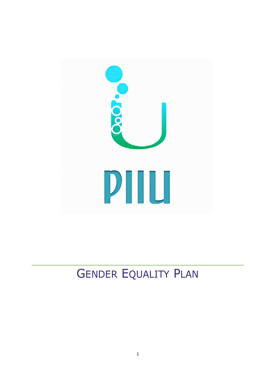

# GENDER EQUALITY PLAN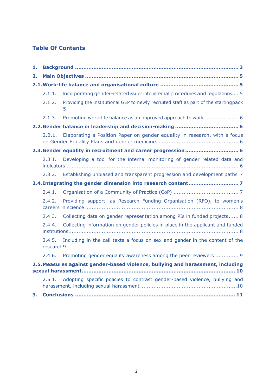### **Table Of Contents**

| 1.                                                                              |                      |                                                                                           |
|---------------------------------------------------------------------------------|----------------------|-------------------------------------------------------------------------------------------|
| 2.                                                                              |                      |                                                                                           |
|                                                                                 |                      |                                                                                           |
|                                                                                 | 2.1.1.               | Incorporating gender-related issues into internal procedures and regulations 5            |
|                                                                                 | 2.1.2.               | Providing the institutional GEP to newly recruited staff as part of the startingpack<br>5 |
|                                                                                 | 2.1.3.               | Promoting work-life balance as an improved approach to work  6                            |
|                                                                                 |                      |                                                                                           |
|                                                                                 | 2.2.1.               | Elaborating a Position Paper on gender equality in research, with a focus                 |
| 2.3. Gender equality in recruitment and career progression 6                    |                      |                                                                                           |
|                                                                                 | 2.3.1.               | Developing a tool for the internal monitoring of gender related data and                  |
|                                                                                 | 2.3.2.               | Establishing unbiased and transparent progression and development paths 7                 |
|                                                                                 |                      |                                                                                           |
|                                                                                 | 2.4.1.               |                                                                                           |
|                                                                                 | 2.4.2.               | Providing support, as Research Funding Organisation (RFO), to women's                     |
|                                                                                 | 2.4.3.               | Collecting data on gender representation among PIs in funded projects 8                   |
|                                                                                 | 2.4.4.               | Collecting information on gender policies in place in the applicant and funded            |
|                                                                                 | 2.4.5.<br>research 9 | Including in the call texts a focus on sex and gender in the content of the               |
|                                                                                 | 2.4.6.               | Promoting gender equality awareness among the peer reviewers  9                           |
| 2.5. Measures against gender-based violence, bullying and harassment, including |                      |                                                                                           |
|                                                                                 | 2.5.1.               | Adopting specific policies to contrast gender-based violence, bullying and                |
| 3.                                                                              |                      |                                                                                           |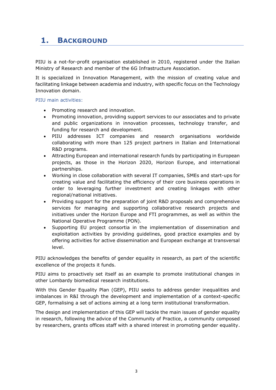### <span id="page-2-0"></span>**1. BACKGROUND**

PIIU is a not-for-profit organisation established in 2010, registered under the Italian Ministry of Research and member of the 6G Infrastructure Association.

It is specialized in Innovation Management, with the mission of creating value and facilitating linkage between academia and industry, with specific focus on the Technology Innovation domain.

#### PIIU main activities:

- Promoting research and innovation.
- Promoting innovation, providing support services to our associates and to private and public organizations in innovation processes, technology transfer, and funding for research and development.
- PIIU addresses ICT companies and research organisations worldwide collaborating with more than 125 project partners in Italian and International R&D programs.
- Attracting European and international research funds by participating in European projects, as those in the Horizon 2020, Horizon Europe, and international partnerships.
- Working in close collaboration with several IT companies, SMEs and start-ups for creating value and facilitating the efficiency of their core business operations in order to leveraging further investment and creating linkages with other regional/national initiatives.
- Providing support for the preparation of joint R&D proposals and comprehensive services for managing and supporting collaborative research projects and initiatives under the Horizon Europe and FTI programmes, as well as within the National Operative Programme (PON).
- Supporting EU project consortia in the implementation of dissemination and exploitation activities by providing guidelines, good practice examples and by offering activities for active dissemination and European exchange at transversal level.

PIIU acknowledges the benefits of gender equality in research, as part of the scientific excellence of the projects it funds.

PIIU aims to proactively set itself as an example to promote institutional changes in other Lombardy biomedical research institutions.

With this Gender Equality Plan (GEP), PIIU seeks to address gender inequalities and imbalances in R&I through the development and implementation of a context-specific GEP, formalising a set of actions aiming at a long term institutional transformation.

The design and implementation of this GEP will tackle the main issues of gender equality in research, following the advice of the Community of Practice, a community composed by researchers, grants offices staff with a shared interest in promoting gender equality.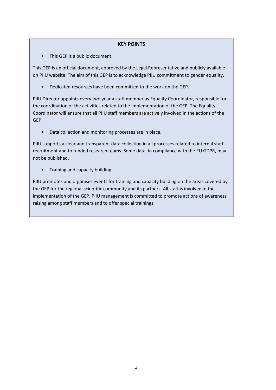#### **KEY POINTS**

• This GEP is a public document.

This GEP is an official document, approved by the Legal Representative and publicly available on PIIU website. The aim of this GEP is to acknowledge PIIU commitment to gender equality.

• Dedicated resources have been committed to the work on the GEP.

PIIU Director appoints every two year a staff member as Equality Coordinator, responsible for the coordination of the activities related to the implementation of the GEP. The Equality Coordinator will ensure that all PIIU staff members are actively involved in the actions of the GEP.

• Data collection and monitoring processes are in place.

PIIU supports a clear and transparent data collection in all processes related to internal staff recruitment and to funded research teams. Some data, in compliance with the EU GDPR, may not be published.

• Training and capacity building.

PIIU promotes and organises events for training and capacity building on the areas covered by the GEP for the regional scientific community and its partners. All staff is involved in the implementation of the GEP. PIIU management is committed to promote actions of awareness raising among staff members and to offer special trainings.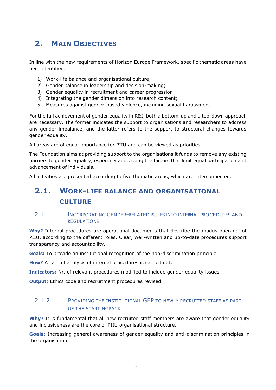### <span id="page-4-0"></span>**2. MAIN OBJECTIVES**

In line with the new requirements of Horizon Europe Framework, specific thematic areas have been identified:

- 1) Work-life balance and organisational culture;
- 2) Gender balance in leadership and decision-making;
- 3) Gender equality in recruitment and career progression;
- 4) Integrating the gender dimension into research content;
- 5) Measures against gender-based violence, including sexual harassment.

For the full achievement of gender equality in R&I, both a bottom-up and a top-down approach are necessary. The former indicates the support to organisations and researchers to address any gender imbalance, and the latter refers to the support to structural changes towards gender equality.

All areas are of equal importance for PIIU and can be viewed as priorities.

The Foundation aims at providing support to the organisations it funds to remove any existing barriers to gender equality, especially addressing the factors that limit equal participation and advancement of individuals.

<span id="page-4-1"></span>All activities are presented according to five thematic areas, which are interconnected.

### **2.1. WORK-LIFE BALANCE AND ORGANISATIONAL CULTURE**

#### <span id="page-4-2"></span>2.1.1. <sup>I</sup>NCORPORATING GENDER–RELATED ISSUES INTO INTERNAL PROCEDURES AND REGULATIONS

**Why?** Internal procedures are operational documents that describe the modus operandi of PIIU, according to the different roles. Clear, well-written and up-to-date procedures support transparency and accountability.

**Goals:** To provide an institutional recognition of the non-discrimination principle.

**How?** A careful analysis of internal procedures is carried out.

**Indicators:** Nr. of relevant procedures modified to include gender equality issues.

**Output:** Ethics code and recruitment procedures revised.

#### <span id="page-4-3"></span>2.1.2. PROVIDING THE INSTITUTIONAL GEP TO NEWLY RECRUITED STAFF AS PART OF THE STARTINGPACK

**Why?** It is fundamental that all new recruited staff members are aware that gender equality and inclusiveness are the core of PIIU organisational structure.

**Goals:** Increasing general awareness of gender equality and anti-discrimination principles in the organisation.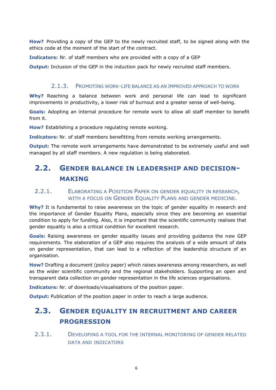**How?** Providing a copy of the GEP to the newly recruited staff, to be signed along with the ethics code at the moment of the start of the contract.

**Indicators:** Nr. of staff members who are provided with a copy of a GEP

**Output:** Inclusion of the GEP in the induction pack for newly recruited staff members.

#### 2.1.3. PROMOTING WORK-LIFE BALANCE AS AN IMPROVED APPROACH TO WORK

<span id="page-5-0"></span>**Why?** Reaching a balance between work and personal life can lead to significant improvements in productivity, a lower risk of burnout and a greater sense of well-being.

**Goals:** Adopting an internal procedure for remote work to allow all staff member to benefit from it.

**How?** Establishing a procedure regulating remote working.

**Indicators:** Nr. of staff members benefitting from remote working arrangements.

**Output:** The remote work arrangements have demonstrated to be extremely useful and well managed by all staff members. A new regulation is being elaborated.

### <span id="page-5-1"></span>**2.2. GENDER BALANCE IN LEADERSHIP AND DECISION-MAKING**

#### <span id="page-5-2"></span>2.2.1. ELABORATING A POSITION PAPER ON GENDER EQUALITY IN RESEARCH, WITH A FOCUS ON GENDER EQUALITY PLANS AND GENDER MEDICINE.

**Why?** It is fundamental to raise awareness on the topic of gender equality in research and the importance of Gender Equality Plans, especially since they are becoming an essential condition to apply for funding. Also, it is important that the scientific community realises that gender equality is also a critical condition for excellent research.

**Goals:** Raising awareness on gender equality issues and providing guidance the new GEP requirements. The elaboration of a GEP also requires the analysis of a wide amount of data on gender representation, that can lead to a reflection of the leadership structure of an organisation.

**How?** Drafting a document (policy paper) which raises awareness among researchers, as well as the wider scientific community and the regional stakeholders. Supporting an open and transparent data collection on gender representation in the life sciences organisations.

**Indicators:** Nr. of downloads/visualisations of the position paper.

<span id="page-5-3"></span>**Output:** Publication of the position paper in order to reach a large audience.

### **2.3. GENDER EQUALITY IN RECRUITMENT AND CAREER PROGRESSION**

<span id="page-5-4"></span>2.3.1. DEVELOPING A TOOL FOR THE INTERNAL MONITORING OF GENDER RELATED DATA AND INDICATORS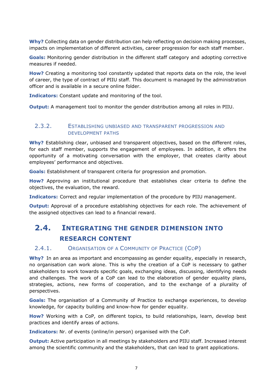**Why?** Collecting data on gender distribution can help reflecting on decision making processes, impacts on implementation of different activities, career progression for each staff member.

**Goals:** Monitoring gender distribution in the different staff category and adopting corrective measures if needed.

**How?** Creating a monitoring tool constantly updated that reports data on the role, the level of career, the type of contract of PIIU staff. This document is managed by the administration officer and is available in a secure online folder.

**Indicators:** Constant update and monitoring of the tool.

**Output:** A management tool to monitor the gender distribution among all roles in PIIU.

#### <span id="page-6-0"></span>2.3.2. ESTABLISHING UNBIASED AND TRANSPARENT PROGRESSION AND DEVELOPMENT PATHS

**Why?** Establishing clear, unbiased and transparent objectives, based on the different roles, for each staff member, supports the engagement of employees. In addition, it offers the opportunity of a motivating conversation with the employer, that creates clarity about employees' performance and objectives.

**Goals:** Establishment of transparent criteria for progression and promotion.

**How?** Approving an institutional procedure that establishes clear criteria to define the objectives, the evaluation, the reward.

**Indicators:** Correct and regular implementation of the procedure by PIIU management.

**Output:** Approval of a procedure establishing objectives for each role. The achievement of the assigned objectives can lead to a financial reward.

### <span id="page-6-1"></span>**2.4. INTEGRATING THE GENDER DIMENSION INTO RESEARCH CONTENT**

#### <span id="page-6-2"></span>2.4.1. ORGANISATION OF A COMMUNITY OF PRACTICE (COP)

**Why?** In an area as important and encompassing as gender equality, especially in research, no organisation can work alone. This is why the creation of a CoP is necessary to gather stakeholders to work towards specific goals, exchanging ideas, discussing, identifying needs and challenges. The work of a CoP can lead to the elaboration of gender equality plans, strategies, actions, new forms of cooperation, and to the exchange of a plurality of perspectives.

**Goals:** The organisation of a Community of Practice to exchange experiences, to develop knowledge, for capacity building and know-how for gender equality.

**How?** Working with a CoP, on different topics, to build relationships, learn, develop best practices and identify areas of actions.

**Indicators:** Nr. of events (online/in person) organised with the CoP.

**Output:** Active participation in all meetings by stakeholders and PIIU staff. Increased interest among the scientific community and the stakeholders, that can lead to grant applications.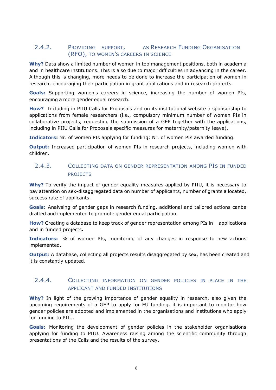#### <span id="page-7-0"></span>2.4.2. PROVIDING SUPPORT, AS RESEARCH FUNDING ORGANISATION (RFO), TO WOMEN'S CAREERS IN SCIENCE

**Why?** Data show a limited number of women in top management positions, both in academia and in healthcare institutions. This is also due to major difficulties in advancing in the career. Although this is changing, more needs to be done to increase the participation of women in research, encouraging their participation in grant applications and in research projects.

**Goals:** Supporting women's careers in science, increasing the number of women PIs, encouraging a more gender equal research.

**How?** Including in PIIU Calls for Proposals and on its institutional website a sponsorship to applications from female researchers (i.e., compulsory minimum number of women PIs in collaborative projects, requesting the submission of a GEP together with the applications, including in PIIU Calls for Proposals specific measures for maternity/paternity leave).

**Indicators:** Nr. of women PIs applying for funding; Nr. of women PIs awarded funding.

**Output:** Increased participation of women PIs in research projects, including women with children.

#### <span id="page-7-1"></span>2.4.3. COLLECTING DATA ON GENDER REPRESENTATION AMONG PIS IN FUNDED PROJECTS

**Why?** To verify the impact of gender equality measures applied by PIIU, it is necessary to pay attention on sex-disaggregated data on number of applicants, number of grants allocated, success rate of applicants.

**Goals:** Analysing of gender gaps in research funding, additional and tailored actions canbe drafted and implemented to promote gender equal participation.

**How?** Creating a database to keep track of gender representation among PIs in applications and in funded projects**.**

**Indicators:** % of women PIs, monitoring of any changes in response to new actions implemented.

**Output:** A database, collecting all projects results disaggregated by sex, has been created and it is constantly updated.

#### <span id="page-7-2"></span>2.4.4. COLLECTING INFORMATION ON GENDER POLICIES IN PLACE IN THE APPLICANT AND FUNDED INSTITUTIONS

**Why?** In light of the growing importance of gender equality in research, also given the upcoming requirements of a GEP to apply for EU funding, it is important to monitor how gender policies are adopted and implemented in the organisations and institutions who apply for funding to PIIU.

**Goals:** Monitoring the development of gender policies in the stakeholder organisations applying for funding to PIIU. Awareness raising among the scientific community through presentations of the Calls and the results of the survey.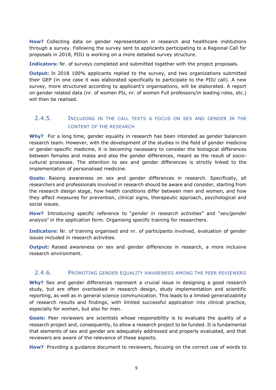**How?** Collecting data on gender representation in research and healthcare institutions through a survey. Following the survey sent to applicants participating to a Regional Call for proposals in 2018, PIIU is working on a more detailed survey structure.

**Indicators:** Nr. of surveys completed and submitted together with the project proposals.

**Output:** In 2018 100% applicants replied to the survey, and two organizations submitted their GEP (in one case it was elaborated specifically to participate to the PIIU call). A new survey, more structured according to applicant's organisations, will be elaborated. A report on gender related data (nr. of women PIs, nr. of women Full professors/in leading roles, etc.) will then be realised.

#### <span id="page-8-0"></span>2.4.5. INCLUDING IN THE CALL TEXTS A FOCUS ON SEX AND GENDER IN THE CONTENT OF THE RESEARCH

**Why?** For a long time, gender equality in research has been intended as gender balancein research team. However, with the development of the studies in the field of gender medicine or gender-specific medicine, it is becoming necessary to consider the biological differences between females and males and also the gender differences, meant as the result of sociocultural processes. The attention to sex and gender differences is strictly linked to the implementation of personalised medicine.

**Goals:** Raising awareness on sex and gender differences in research. Specifically, all researchers and professionals involved in research should be aware and consider, starting from the research design stage, how health conditions differ between men and women, and how they affect measures for prevention, clinical signs, therapeutic approach, psychological and social issues.

**How?** Introducing specific reference to "*gender in research activities*" and "*sex/gender analysis*" in the application form. Organising specific training for researchers.

**Indicators:** Nr. of training organised and nr. of participants involved, evaluation of gender issues included in research activities.

**Output:** Raised awareness on sex and gender differences in research, a more inclusive research environment.

#### <span id="page-8-1"></span>2.4.6. PROMOTING GENDER EQUALITY AWARENESS AMONG THE PEER REVIEWERS

**Why?** Sex and gender differences represent a crucial issue in designing a good research study, but are often overlooked in research design, study implementation and scientific reporting, as well as in general science communication. This leads to a limited generalizability of research results and findings, with limited successful application into clinical practice, especially for women, but also for men.

**Goals:** Peer reviewers are scientists whose responsibility is to evaluate the quality of a research project and, consequently, to allow a research project to be funded. It is fundamental that elements of sex and gender are adequately addressed and properly evaluated, and that reviewers are aware of the relevance of these aspects.

**How?** Providing a guidance document to reviewers, focusing on the correct use of words to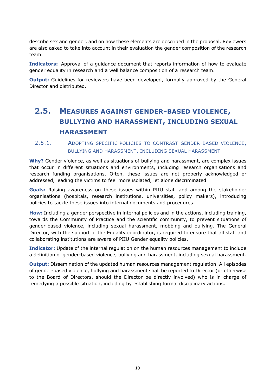describe sex and gender, and on how these elements are described in the proposal. Reviewers are also asked to take into account in their evaluation the gender composition of the research team.

**Indicators:** Approval of a guidance document that reports information of how to evaluate gender equality in research and a well balance composition of a research team.

**Output:** Guidelines for reviewers have been developed, formally approved by the General Director and distributed.

## <span id="page-9-0"></span>**2.5. MEASURES AGAINST GENDER-BASED VIOLENCE, BULLYING AND HARASSMENT, INCLUDING SEXUAL HARASSMENT**

#### <span id="page-9-1"></span>2.5.1. ADOPTING SPECIFIC POLICIES TO CONTRAST GENDER-BASED VIOLENCE, BULLYING AND HARASSMENT, INCLUDING SEXUAL HARASSMENT

**Why?** Gender violence, as well as situations of bullying and harassment, are complex issues that occur in different situations and environments, including research organisations and research funding organisations. Often, these issues are not properly acknowledged or addressed, leading the victims to feel more isolated, let alone discriminated.

**Goals:** Raising awareness on these issues within PIIU staff and among the stakeholder organisations (hospitals, research institutions, universities, policy makers), introducing policies to tackle these issues into internal documents and procedures.

**How:** Including a gender perspective in internal policies and in the actions, including training, towards the Community of Practice and the scientific community, to prevent situations of gender-based violence, including sexual harassment, mobbing and bullying. The General Director, with the support of the Equality coordinator, is required to ensure that all staff and collaborating institutions are aware of PIIU Gender equality policies.

**Indicator:** Update of the internal regulation on the human resources management to include a definition of gender-based violence, bullying and harassment, including sexual harassment.

**Output:** Dissemination of the updated human resources management regulation. All episodes of gender-based violence, bullying and harassment shall be reported to Director (or otherwise to the Board of Directors, should the Director be directly involved) who is in charge of remedying a possible situation, including by establishing formal disciplinary actions.